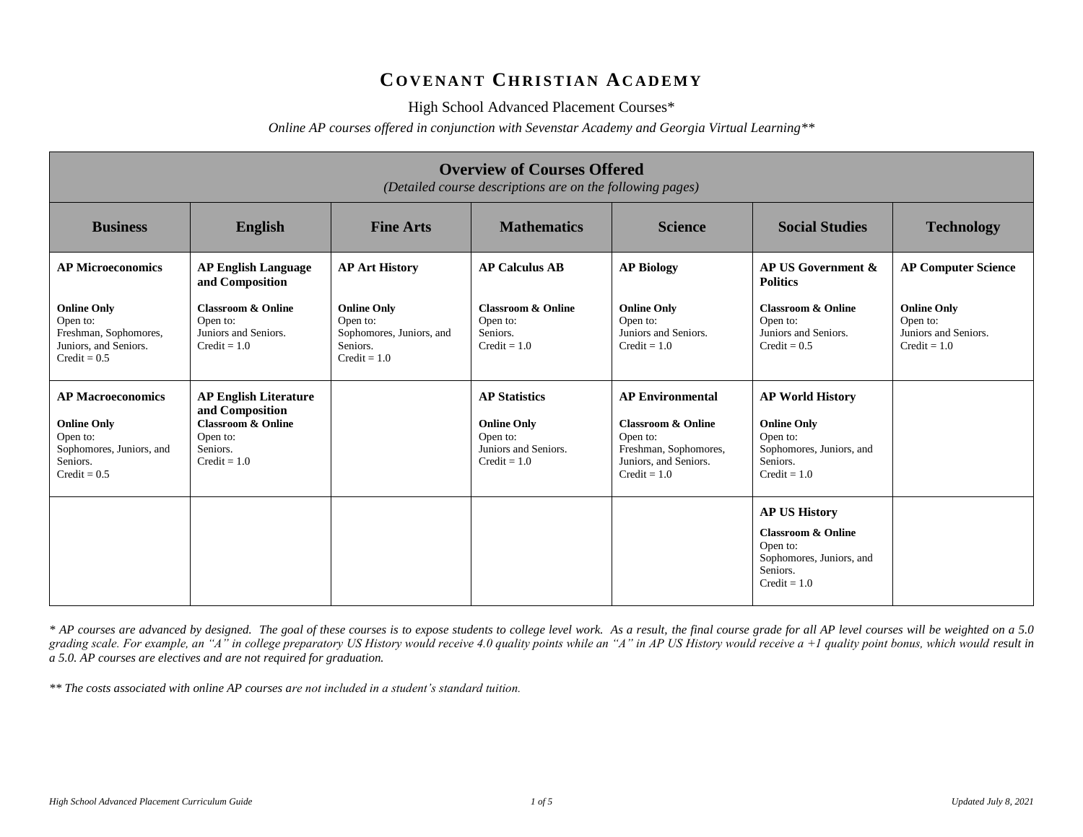## **CO V E N A N T CH R I S T I A N AC A D E M Y**

High School Advanced Placement Courses\*

*Online AP courses offered in conjunction with Sevenstar Academy and Georgia Virtual Learning\*\**

| <b>Overview of Courses Offered</b><br>(Detailed course descriptions are on the following pages)                      |                                                                                                                            |                                                                                          |                                                                                                  |                                                                                                                                          |                                                                                                                             |                                                                          |
|----------------------------------------------------------------------------------------------------------------------|----------------------------------------------------------------------------------------------------------------------------|------------------------------------------------------------------------------------------|--------------------------------------------------------------------------------------------------|------------------------------------------------------------------------------------------------------------------------------------------|-----------------------------------------------------------------------------------------------------------------------------|--------------------------------------------------------------------------|
| <b>Business</b>                                                                                                      | English                                                                                                                    | <b>Fine Arts</b>                                                                         | <b>Mathematics</b>                                                                               | <b>Science</b>                                                                                                                           | <b>Social Studies</b>                                                                                                       | <b>Technology</b>                                                        |
| <b>AP Microeconomics</b>                                                                                             | <b>AP English Language</b><br>and Composition                                                                              | <b>AP Art History</b>                                                                    | <b>AP Calculus AB</b>                                                                            | <b>AP Biology</b>                                                                                                                        | AP US Government &<br><b>Politics</b>                                                                                       | <b>AP Computer Science</b>                                               |
| <b>Online Only</b><br>Open to:<br>Freshman, Sophomores,<br>Juniors, and Seniors.<br>$Credit = 0.5$                   | <b>Classroom &amp; Online</b><br>Open to:<br>Juniors and Seniors.<br>$Credit = 1.0$                                        | <b>Online Only</b><br>Open to:<br>Sophomores, Juniors, and<br>Seniors.<br>$Credit = 1.0$ | <b>Classroom &amp; Online</b><br>Open to:<br>Seniors.<br>$Credit = 1.0$                          | <b>Online Only</b><br>Open to:<br>Juniors and Seniors.<br>$Credit = 1.0$                                                                 | <b>Classroom &amp; Online</b><br>Open to:<br>Juniors and Seniors.<br>$Credit = 0.5$                                         | <b>Online Only</b><br>Open to:<br>Juniors and Seniors.<br>$Credit = 1.0$ |
| <b>AP Macroeconomics</b><br><b>Online Only</b><br>Open to:<br>Sophomores, Juniors, and<br>Seniors.<br>$Credit = 0.5$ | <b>AP English Literature</b><br>and Composition<br><b>Classroom &amp; Online</b><br>Open to:<br>Seniors.<br>$Credit = 1.0$ |                                                                                          | <b>AP Statistics</b><br><b>Online Only</b><br>Open to:<br>Juniors and Seniors.<br>$Credit = 1.0$ | <b>AP Environmental</b><br><b>Classroom &amp; Online</b><br>Open to:<br>Freshman, Sophomores,<br>Juniors, and Seniors.<br>$Credit = 1.0$ | <b>AP World History</b><br><b>Online Only</b><br>Open to:<br>Sophomores, Juniors, and<br>Seniors.<br>$Credit = 1.0$         |                                                                          |
|                                                                                                                      |                                                                                                                            |                                                                                          |                                                                                                  |                                                                                                                                          | <b>AP US History</b><br><b>Classroom &amp; Online</b><br>Open to:<br>Sophomores, Juniors, and<br>Seniors.<br>$Credit = 1.0$ |                                                                          |

*\* AP courses are advanced by designed. The goal of these courses is to expose students to college level work. As a result, the final course grade for all AP level courses will be weighted on a 5.0 grading scale. For example, an "A" in college preparatory US History would receive 4.0 quality points while an "A" in AP US History would receive a +1 quality point bonus, which would result in a 5.0. AP courses are electives and are not required for graduation.* 

*\*\* The costs associated with online AP courses are not included in a student's standard tuition.*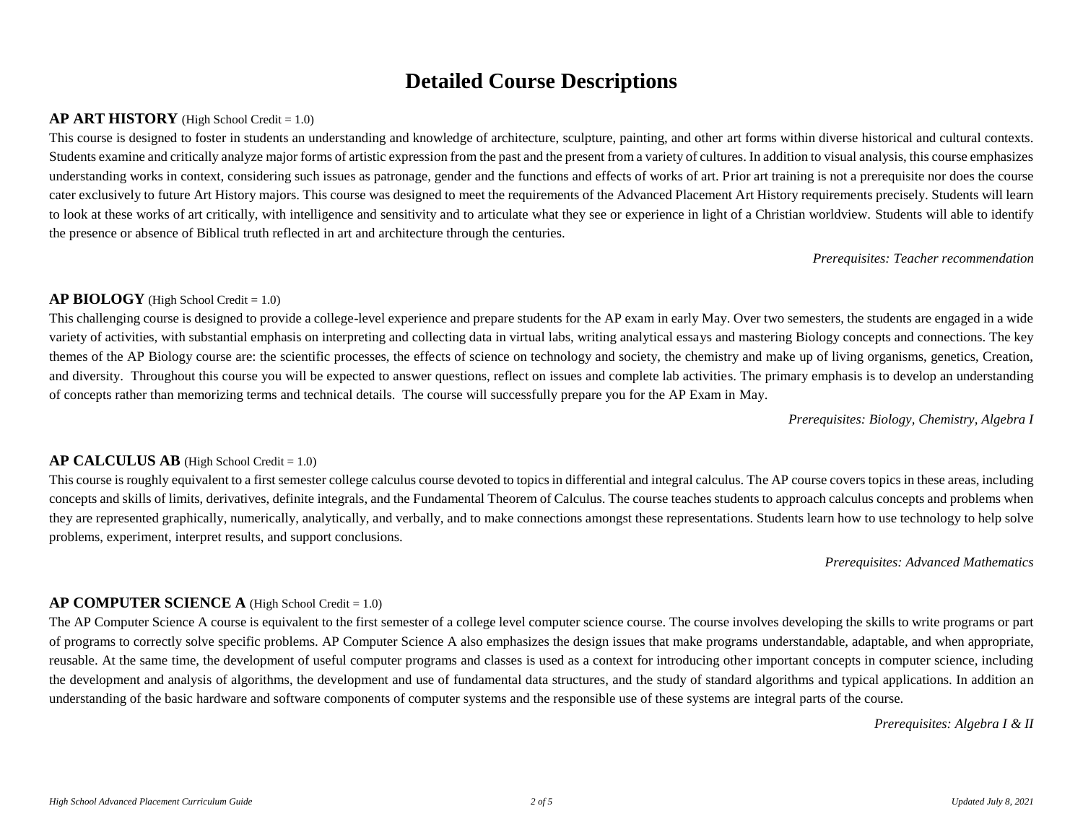# **Detailed Course Descriptions**

## **AP ART HISTORY** (High School Credit = 1.0)

This course is designed to foster in students an understanding and knowledge of architecture, sculpture, painting, and other art forms within diverse historical and cultural contexts. Students examine and critically analyze major forms of artistic expression from the past and the present from a variety of cultures. In addition to visual analysis, this course emphasizes understanding works in context, considering such issues as patronage, gender and the functions and effects of works of art. Prior art training is not a prerequisite nor does the course cater exclusively to future Art History majors. This course was designed to meet the requirements of the Advanced Placement Art History requirements precisely. Students will learn to look at these works of art critically, with intelligence and sensitivity and to articulate what they see or experience in light of a Christian worldview. Students will able to identify the presence or absence of Biblical truth reflected in art and architecture through the centuries.

*Prerequisites: Teacher recommendation*

### **AP BIOLOGY** (High School Credit = 1.0)

This challenging course is designed to provide a college-level experience and prepare students for the AP exam in early May. Over two semesters, the students are engaged in a wide variety of activities, with substantial emphasis on interpreting and collecting data in virtual labs, writing analytical essays and mastering Biology concepts and connections. The key themes of the AP Biology course are: the scientific processes, the effects of science on technology and society, the chemistry and make up of living organisms, genetics, Creation, and diversity. Throughout this course you will be expected to answer questions, reflect on issues and complete lab activities. The primary emphasis is to develop an understanding of concepts rather than memorizing terms and technical details. The course will successfully prepare you for the AP Exam in May.

*Prerequisites: Biology, Chemistry, Algebra I*

## **AP CALCULUS AB** (High School Credit = 1.0)

This course is roughly equivalent to a first semester college calculus course devoted to topics in differential and integral calculus. The AP course covers topics in these areas, including concepts and skills of limits, derivatives, definite integrals, and the Fundamental Theorem of Calculus. The course teaches students to approach calculus concepts and problems when they are represented graphically, numerically, analytically, and verbally, and to make connections amongst these representations. Students learn how to use technology to help solve problems, experiment, interpret results, and support conclusions.

*Prerequisites: Advanced Mathematics*

## **AP COMPUTER SCIENCE A** (High School Credit = 1.0)

The AP Computer Science A course is equivalent to the first semester of a college level computer science course. The course involves developing the skills to write programs or part of programs to correctly solve specific problems. AP Computer Science A also emphasizes the design issues that make programs understandable, adaptable, and when appropriate, reusable. At the same time, the development of useful computer programs and classes is used as a context for introducing other important concepts in computer science, including the development and analysis of algorithms, the development and use of fundamental data structures, and the study of standard algorithms and typical applications. In addition an understanding of the basic hardware and software components of computer systems and the responsible use of these systems are integral parts of the course.

*Prerequisites: Algebra I & II*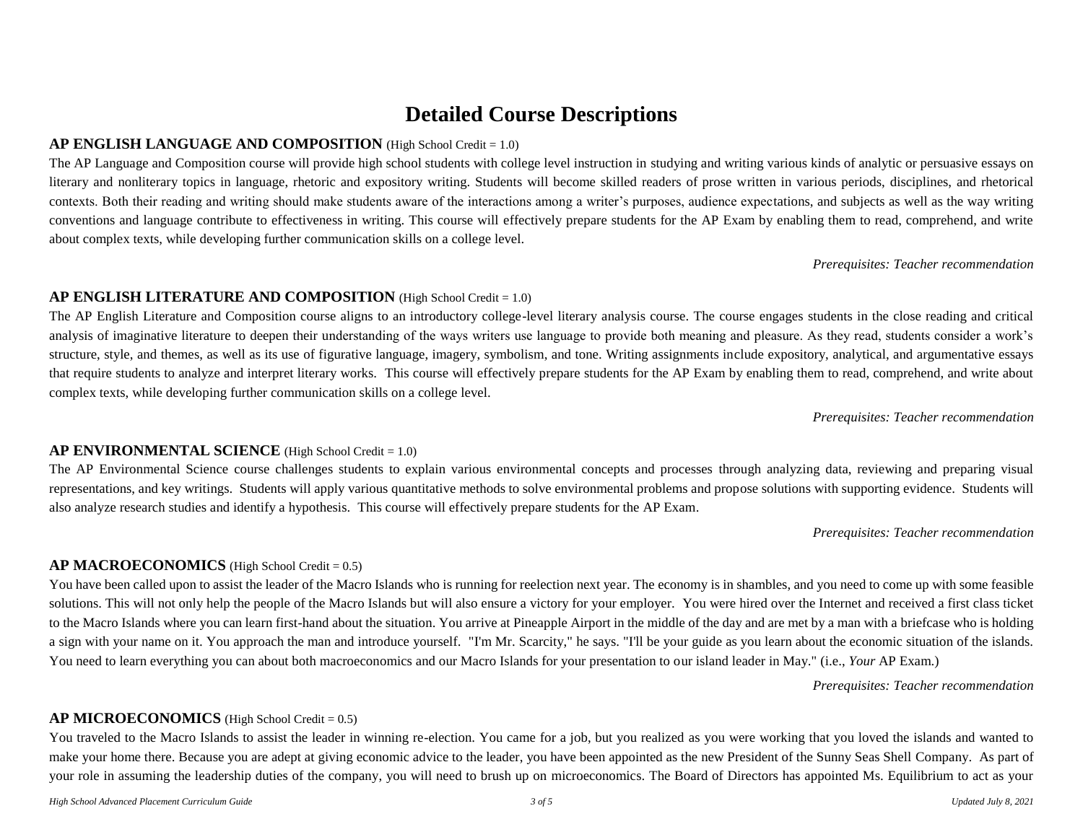## **Detailed Course Descriptions**

#### **AP ENGLISH LANGUAGE AND COMPOSITION** (High School Credit = 1.0)

The AP Language and Composition course will provide high school students with college level instruction in studying and writing various kinds of analytic or persuasive essays on literary and nonliterary topics in language, rhetoric and expository writing. Students will become skilled readers of prose written in various periods, disciplines, and rhetorical contexts. Both their reading and writing should make students aware of the interactions among a writer's purposes, audience expectations, and subjects as well as the way writing conventions and language contribute to effectiveness in writing. This course will effectively prepare students for the AP Exam by enabling them to read, comprehend, and write about complex texts, while developing further communication skills on a college level.

*Prerequisites: Teacher recommendation*

#### **AP ENGLISH LITERATURE AND COMPOSITION** (High School Credit = 1.0)

The AP English Literature and Composition course aligns to an introductory college-level literary analysis course. The course engages students in the close reading and critical analysis of imaginative literature to deepen their understanding of the ways writers use language to provide both meaning and pleasure. As they read, students consider a work's structure, style, and themes, as well as its use of figurative language, imagery, symbolism, and tone. Writing assignments include expository, analytical, and argumentative essays that require students to analyze and interpret literary works. This course will effectively prepare students for the AP Exam by enabling them to read, comprehend, and write about complex texts, while developing further communication skills on a college level.

*Prerequisites: Teacher recommendation*

#### **AP ENVIRONMENTAL SCIENCE** (High School Credit = 1.0)

The AP Environmental Science course challenges students to explain various environmental concepts and processes through analyzing data, reviewing and preparing visual representations, and key writings. Students will apply various quantitative methods to solve environmental problems and propose solutions with supporting evidence. Students will also analyze research studies and identify a hypothesis. This course will effectively prepare students for the AP Exam.

#### *Prerequisites: Teacher recommendation*

#### **AP MACROECONOMICS** (High School Credit = 0.5)

You have been called upon to assist the leader of the Macro Islands who is running for reelection next year. The economy is in shambles, and you need to come up with some feasible solutions. This will not only help the people of the Macro Islands but will also ensure a victory for your employer. You were hired over the Internet and received a first class ticket to the Macro Islands where you can learn first-hand about the situation. You arrive at Pineapple Airport in the middle of the day and are met by a man with a briefcase who is holding a sign with your name on it. You approach the man and introduce yourself. "I'm Mr. Scarcity," he says. "I'll be your guide as you learn about the economic situation of the islands. You need to learn everything you can about both macroeconomics and our Macro Islands for your presentation to our island leader in May." (i.e., *Your* AP Exam.)

*Prerequisites: Teacher recommendation*

## **AP MICROECONOMICS** (High School Credit = 0.5)

You traveled to the Macro Islands to assist the leader in winning re-election. You came for a job, but you realized as you were working that you loved the islands and wanted to make your home there. Because you are adept at giving economic advice to the leader, you have been appointed as the new President of the Sunny Seas Shell Company. As part of your role in assuming the leadership duties of the company, you will need to brush up on microeconomics. The Board of Directors has appointed Ms. Equilibrium to act as your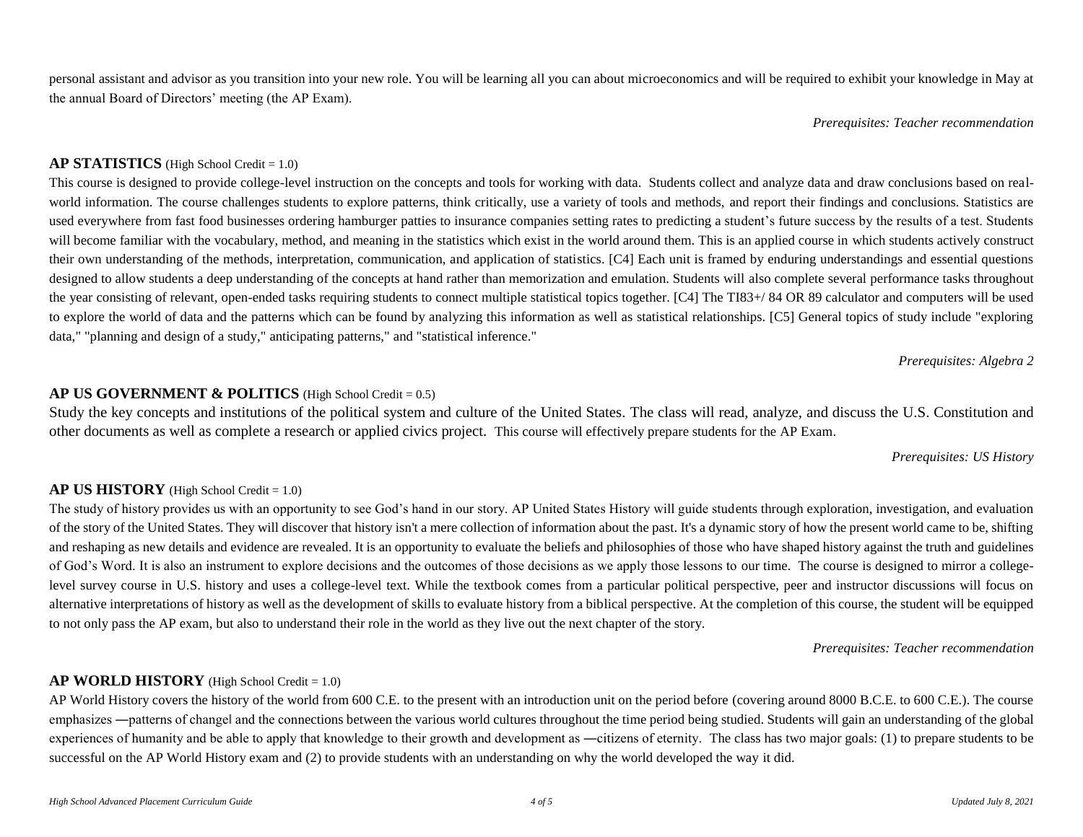personal assistant and advisor as you transition into your new role. You will be learning all you can about microeconomics and will be required to exhibit your knowledge in May at the annual Board of Directors' meeting (the AP Exam).

*Prerequisites: Teacher recommendation*

### **AP STATISTICS** (High School Credit = 1.0)

This course is designed to provide college-level instruction on the concepts and tools for working with data. Students collect and analyze data and draw conclusions based on realworld information. The course challenges students to explore patterns, think critically, use a variety of tools and methods, and report their findings and conclusions. Statistics are used everywhere from fast food businesses ordering hamburger patties to insurance companies setting rates to predicting a student's future success by the results of a test. Students will become familiar with the vocabulary, method, and meaning in the statistics which exist in the world around them. This is an applied course in which students actively construct their own understanding of the methods, interpretation, communication, and application of statistics. [C4] Each unit is framed by enduring understandings and essential questions designed to allow students a deep understanding of the concepts at hand rather than memorization and emulation. Students will also complete several performance tasks throughout the year consisting of relevant, open-ended tasks requiring students to connect multiple statistical topics together. [C4] The TI83+/84 OR 89 calculator and computers will be used to explore the world of data and the patterns which can be found by analyzing this information as well as statistical relationships. [C5] General topics of study include "exploring data," "planning and design of a study," anticipating patterns," and "statistical inference."

*Prerequisites: Algebra 2*

## **AP US GOVERNMENT & POLITICS** (High School Credit = 0.5)

Study the key concepts and institutions of the political system and culture of the United States. The class will read, analyze, and discuss the U.S. Constitution and other documents as well as complete a research or applied civics project. This course will effectively prepare students for the AP Exam.

#### *Prerequisites: US History*

## **AP US HISTORY** (High School Credit = 1.0)

The study of history provides us with an opportunity to see God's hand in our story. AP United States History will guide students through exploration, investigation, and evaluation of the story of the United States. They will discover that history isn't a mere collection of information about the past. It's a dynamic story of how the present world came to be, shifting and reshaping as new details and evidence are revealed. It is an opportunity to evaluate the beliefs and philosophies of those who have shaped history against the truth and guidelines of God's Word. It is also an instrument to explore decisions and the outcomes of those decisions as we apply those lessons to our time. The course is designed to mirror a collegelevel survey course in U.S. history and uses a college-level text. While the textbook comes from a particular political perspective, peer and instructor discussions will focus on alternative interpretations of history as well as the development of skills to evaluate history from a biblical perspective. At the completion of this course, the student will be equipped to not only pass the AP exam, but also to understand their role in the world as they live out the next chapter of the story.

*Prerequisites: Teacher recommendation*

## **AP WORLD HISTORY** (High School Credit = 1.0)

AP World History covers the history of the world from 600 C.E. to the present with an introduction unit on the period before (covering around 8000 B.C.E. to 600 C.E.). The course emphasizes —patterns of changel and the connections between the various world cultures throughout the time period being studied. Students will gain an understanding of the global experiences of humanity and be able to apply that knowledge to their growth and development as ―citizens of eternity. The class has two major goals: (1) to prepare students to be successful on the AP World History exam and (2) to provide students with an understanding on why the world developed the way it did.